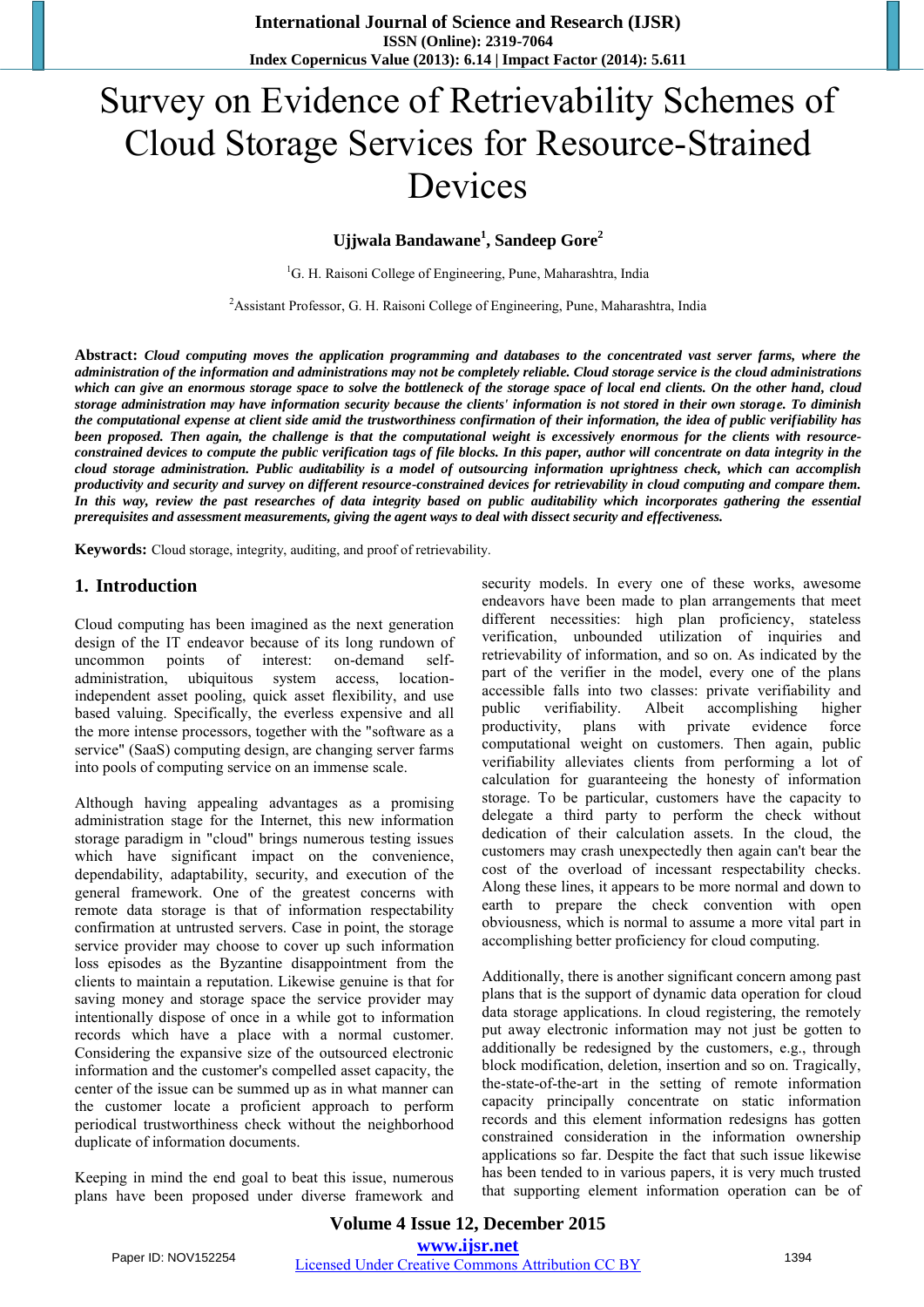# Survey on Evidence of Retrievability Schemes of Cloud Storage Services for Resource-Strained Devices

**Ujjwala Bandawane<sup>1</sup> , Sandeep Gore<sup>2</sup>**

<sup>1</sup>G. H. Raisoni College of Engineering, Pune, Maharashtra, India

<sup>2</sup> Assistant Professor, G. H. Raisoni College of Engineering, Pune, Maharashtra, India

**Abstract:** *Cloud computing moves the application programming and databases to the concentrated vast server farms, where the administration of the information and administrations may not be completely reliable. Cloud storage service is the cloud administrations which can give an enormous storage space to solve the bottleneck of the storage space of local end clients. On the other hand, cloud storage administration may have information security because the clients' information is not stored in their own storage. To diminish the computational expense at client side amid the trustworthiness confirmation of their information, the idea of public verifiability has been proposed. Then again, the challenge is that the computational weight is excessively enormous for the clients with resourceconstrained devices to compute the public verification tags of file blocks. In this paper, author will concentrate on data integrity in the cloud storage administration. Public auditability is a model of outsourcing information uprightness check, which can accomplish productivity and security and survey on different resource-constrained devices for retrievability in cloud computing and compare them. In this way, review the past researches of data integrity based on public auditability which incorporates gathering the essential prerequisites and assessment measurements, giving the agent ways to deal with dissect security and effectiveness.*

**Keywords:** Cloud storage, integrity, auditing, and proof of retrievability.

## **1. Introduction**

Cloud computing has been imagined as the next generation design of the IT endeavor because of its long rundown of uncommon points of interest: on-demand selfadministration, ubiquitous system access, locationindependent asset pooling, quick asset flexibility, and use based valuing. Specifically, the everless expensive and all the more intense processors, together with the "software as a service" (SaaS) computing design, are changing server farms into pools of computing service on an immense scale.

Although having appealing advantages as a promising administration stage for the Internet, this new information storage paradigm in "cloud" brings numerous testing issues which have significant impact on the convenience, dependability, adaptability, security, and execution of the general framework. One of the greatest concerns with remote data storage is that of information respectability confirmation at untrusted servers. Case in point, the storage service provider may choose to cover up such information loss episodes as the Byzantine disappointment from the clients to maintain a reputation. Likewise genuine is that for saving money and storage space the service provider may intentionally dispose of once in a while got to information records which have a place with a normal customer. Considering the expansive size of the outsourced electronic information and the customer's compelled asset capacity, the center of the issue can be summed up as in what manner can the customer locate a proficient approach to perform periodical trustworthiness check without the neighborhood duplicate of information documents.

Keeping in mind the end goal to beat this issue, numerous plans have been proposed under diverse framework and security models. In every one of these works, awesome endeavors have been made to plan arrangements that meet different necessities: high plan proficiency, stateless verification, unbounded utilization of inquiries and retrievability of information, and so on. As indicated by the part of the verifier in the model, every one of the plans accessible falls into two classes: private verifiability and public verifiability. Albeit accomplishing higher productivity, plans with private evidence force computational weight on customers. Then again, public verifiability alleviates clients from performing a lot of calculation for guaranteeing the honesty of information storage. To be particular, customers have the capacity to delegate a third party to perform the check without dedication of their calculation assets. In the cloud, the customers may crash unexpectedly then again can't bear the cost of the overload of incessant respectability checks. Along these lines, it appears to be more normal and down to earth to prepare the check convention with open obviousness, which is normal to assume a more vital part in accomplishing better proficiency for cloud computing.

Additionally, there is another significant concern among past plans that is the support of dynamic data operation for cloud data storage applications. In cloud registering, the remotely put away electronic information may not just be gotten to additionally be redesigned by the customers, e.g., through block modification, deletion, insertion and so on. Tragically, the-state-of-the-art in the setting of remote information capacity principally concentrate on static information records and this element information redesigns has gotten constrained consideration in the information ownership applications so far. Despite the fact that such issue likewise has been tended to in various papers, it is very much trusted that supporting element information operation can be of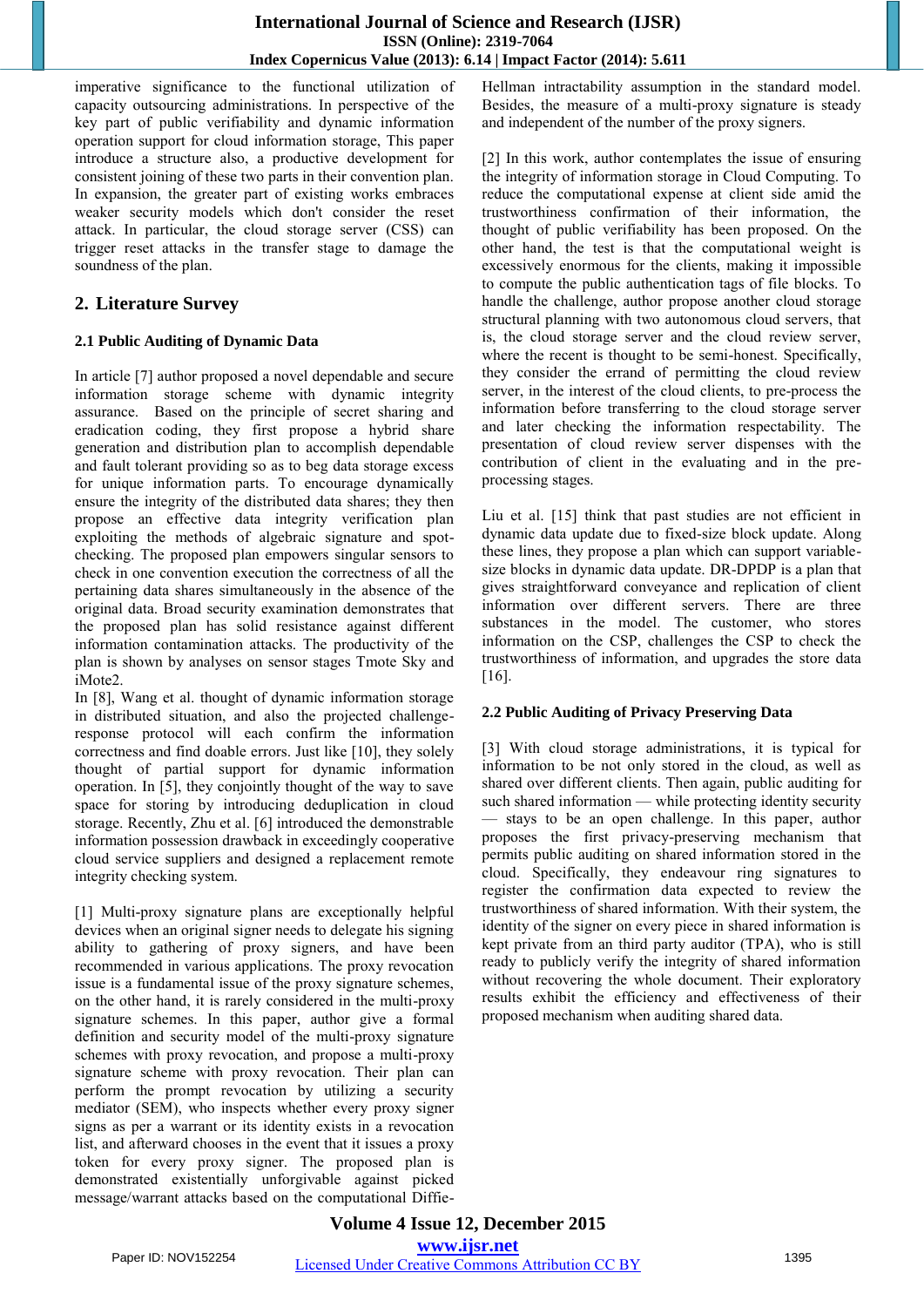imperative significance to the functional utilization of capacity outsourcing administrations. In perspective of the key part of public verifiability and dynamic information operation support for cloud information storage, This paper introduce a structure also, a productive development for consistent joining of these two parts in their convention plan. In expansion, the greater part of existing works embraces weaker security models which don't consider the reset attack. In particular, the cloud storage server (CSS) can trigger reset attacks in the transfer stage to damage the soundness of the plan.

# **2. Literature Survey**

# **2.1 Public Auditing of Dynamic Data**

In article [7] author proposed a novel dependable and secure information storage scheme with dynamic integrity assurance. Based on the principle of secret sharing and eradication coding, they first propose a hybrid share generation and distribution plan to accomplish dependable and fault tolerant providing so as to beg data storage excess for unique information parts. To encourage dynamically ensure the integrity of the distributed data shares; they then propose an effective data integrity verification plan exploiting the methods of algebraic signature and spotchecking. The proposed plan empowers singular sensors to check in one convention execution the correctness of all the pertaining data shares simultaneously in the absence of the original data. Broad security examination demonstrates that the proposed plan has solid resistance against different information contamination attacks. The productivity of the plan is shown by analyses on sensor stages Tmote Sky and iMote2.

In [8], Wang et al. thought of dynamic information storage in distributed situation, and also the projected challengeresponse protocol will each confirm the information correctness and find doable errors. Just like [10], they solely thought of partial support for dynamic information operation. In [5], they conjointly thought of the way to save space for storing by introducing deduplication in cloud storage. Recently, Zhu et al. [6] introduced the demonstrable information possession drawback in exceedingly cooperative cloud service suppliers and designed a replacement remote integrity checking system.

[1] Multi-proxy signature plans are exceptionally helpful devices when an original signer needs to delegate his signing ability to gathering of proxy signers, and have been recommended in various applications. The proxy revocation issue is a fundamental issue of the proxy signature schemes, on the other hand, it is rarely considered in the multi-proxy signature schemes. In this paper, author give a formal definition and security model of the multi-proxy signature schemes with proxy revocation, and propose a multi-proxy signature scheme with proxy revocation. Their plan can perform the prompt revocation by utilizing a security mediator (SEM), who inspects whether every proxy signer signs as per a warrant or its identity exists in a revocation list, and afterward chooses in the event that it issues a proxy token for every proxy signer. The proposed plan is demonstrated existentially unforgivable against picked message/warrant attacks based on the computational DiffieHellman intractability assumption in the standard model. Besides, the measure of a multi-proxy signature is steady and independent of the number of the proxy signers.

[2] In this work, author contemplates the issue of ensuring the integrity of information storage in Cloud Computing. To reduce the computational expense at client side amid the trustworthiness confirmation of their information, the thought of public verifiability has been proposed. On the other hand, the test is that the computational weight is excessively enormous for the clients, making it impossible to compute the public authentication tags of file blocks. To handle the challenge, author propose another cloud storage structural planning with two autonomous cloud servers, that is, the cloud storage server and the cloud review server, where the recent is thought to be semi-honest. Specifically, they consider the errand of permitting the cloud review server, in the interest of the cloud clients, to pre-process the information before transferring to the cloud storage server and later checking the information respectability. The presentation of cloud review server dispenses with the contribution of client in the evaluating and in the preprocessing stages.

Liu et al. [15] think that past studies are not efficient in dynamic data update due to fixed-size block update. Along these lines, they propose a plan which can support variablesize blocks in dynamic data update. DR-DPDP is a plan that gives straightforward conveyance and replication of client information over different servers. There are three substances in the model. The customer, who stores information on the CSP, challenges the CSP to check the trustworthiness of information, and upgrades the store data [16].

## **2.2 Public Auditing of Privacy Preserving Data**

[3] With cloud storage administrations, it is typical for information to be not only stored in the cloud, as well as shared over different clients. Then again, public auditing for such shared information — while protecting identity security — stays to be an open challenge. In this paper, author proposes the first privacy-preserving mechanism that permits public auditing on shared information stored in the cloud. Specifically, they endeavour ring signatures to register the confirmation data expected to review the trustworthiness of shared information. With their system, the identity of the signer on every piece in shared information is kept private from an third party auditor (TPA), who is still ready to publicly verify the integrity of shared information without recovering the whole document. Their exploratory results exhibit the efficiency and effectiveness of their proposed mechanism when auditing shared data.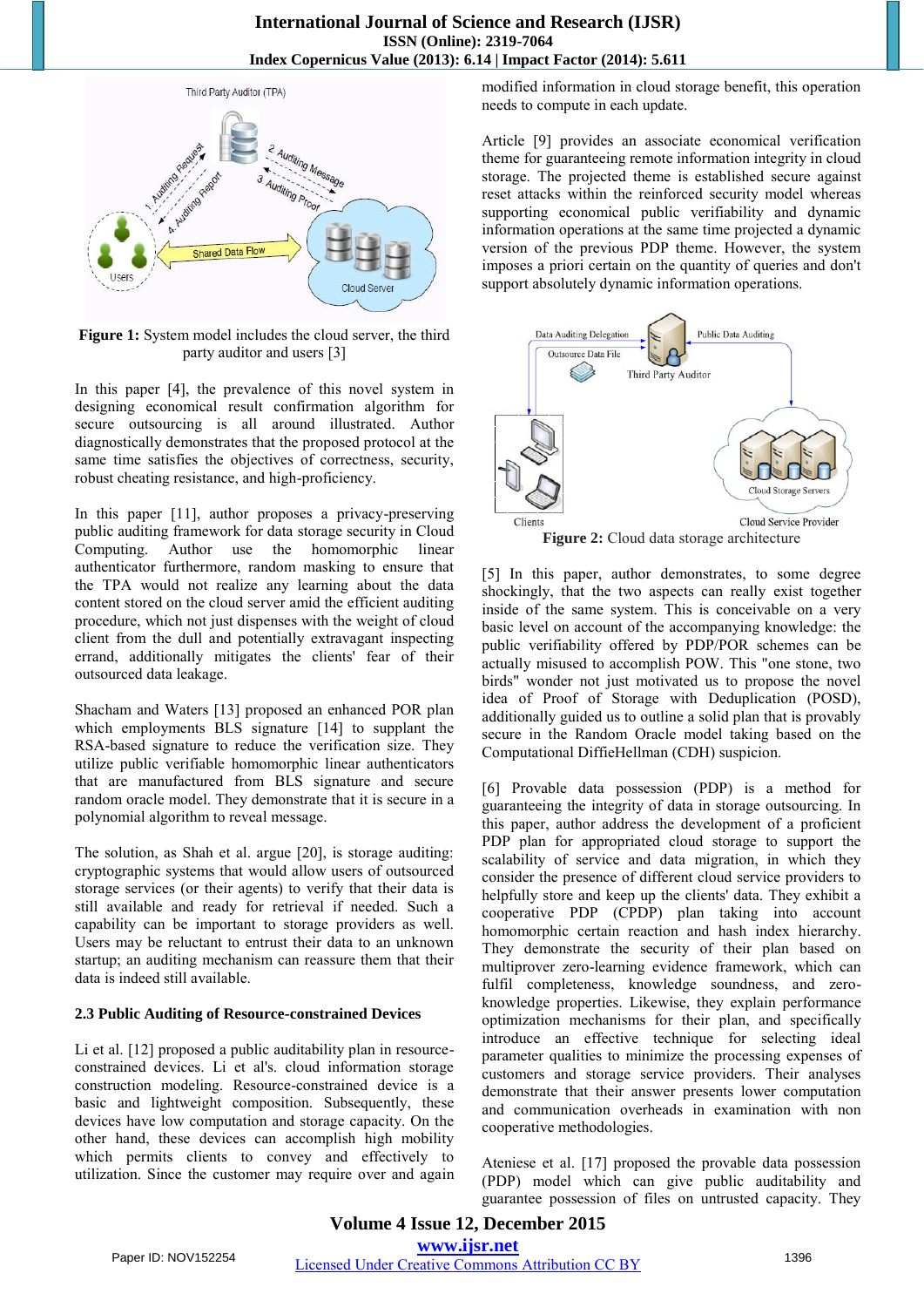

**Figure 1:** System model includes the cloud server, the third party auditor and users [3]

In this paper [4], the prevalence of this novel system in designing economical result confirmation algorithm for secure outsourcing is all around illustrated. Author diagnostically demonstrates that the proposed protocol at the same time satisfies the objectives of correctness, security, robust cheating resistance, and high-proficiency.

In this paper [11], author proposes a privacy-preserving public auditing framework for data storage security in Cloud Computing. Author use the homomorphic linear authenticator furthermore, random masking to ensure that the TPA would not realize any learning about the data content stored on the cloud server amid the efficient auditing procedure, which not just dispenses with the weight of cloud client from the dull and potentially extravagant inspecting errand, additionally mitigates the clients' fear of their outsourced data leakage.

Shacham and Waters [13] proposed an enhanced POR plan which employments BLS signature [14] to supplant the RSA-based signature to reduce the verification size. They utilize public verifiable homomorphic linear authenticators that are manufactured from BLS signature and secure random oracle model. They demonstrate that it is secure in a polynomial algorithm to reveal message.

The solution, as Shah et al. argue [20], is storage auditing: cryptographic systems that would allow users of outsourced storage services (or their agents) to verify that their data is still available and ready for retrieval if needed. Such a capability can be important to storage providers as well. Users may be reluctant to entrust their data to an unknown startup; an auditing mechanism can reassure them that their data is indeed still available.

#### **2.3 Public Auditing of Resource-constrained Devices**

Li et al. [12] proposed a public auditability plan in resourceconstrained devices. Li et al's. cloud information storage construction modeling. Resource-constrained device is a basic and lightweight composition. Subsequently, these devices have low computation and storage capacity. On the other hand, these devices can accomplish high mobility which permits clients to convey and effectively to utilization. Since the customer may require over and again modified information in cloud storage benefit, this operation needs to compute in each update.

Article [9] provides an associate economical verification theme for guaranteeing remote information integrity in cloud storage. The projected theme is established secure against reset attacks within the reinforced security model whereas supporting economical public verifiability and dynamic information operations at the same time projected a dynamic version of the previous PDP theme. However, the system imposes a priori certain on the quantity of queries and don't support absolutely dynamic information operations.



**Figure 2:** Cloud data storage architecture

[5] In this paper, author demonstrates, to some degree shockingly, that the two aspects can really exist together inside of the same system. This is conceivable on a very basic level on account of the accompanying knowledge: the public verifiability offered by PDP/POR schemes can be actually misused to accomplish POW. This "one stone, two birds" wonder not just motivated us to propose the novel idea of Proof of Storage with Deduplication (POSD), additionally guided us to outline a solid plan that is provably secure in the Random Oracle model taking based on the Computational DiffieHellman (CDH) suspicion.

[6] Provable data possession (PDP) is a method for guaranteeing the integrity of data in storage outsourcing. In this paper, author address the development of a proficient PDP plan for appropriated cloud storage to support the scalability of service and data migration, in which they consider the presence of different cloud service providers to helpfully store and keep up the clients' data. They exhibit a cooperative PDP (CPDP) plan taking into account homomorphic certain reaction and hash index hierarchy. They demonstrate the security of their plan based on multiprover zero-learning evidence framework, which can fulfil completeness, knowledge soundness, and zeroknowledge properties. Likewise, they explain performance optimization mechanisms for their plan, and specifically introduce an effective technique for selecting ideal parameter qualities to minimize the processing expenses of customers and storage service providers. Their analyses demonstrate that their answer presents lower computation and communication overheads in examination with non cooperative methodologies.

Ateniese et al. [17] proposed the provable data possession (PDP) model which can give public auditability and guarantee possession of files on untrusted capacity. They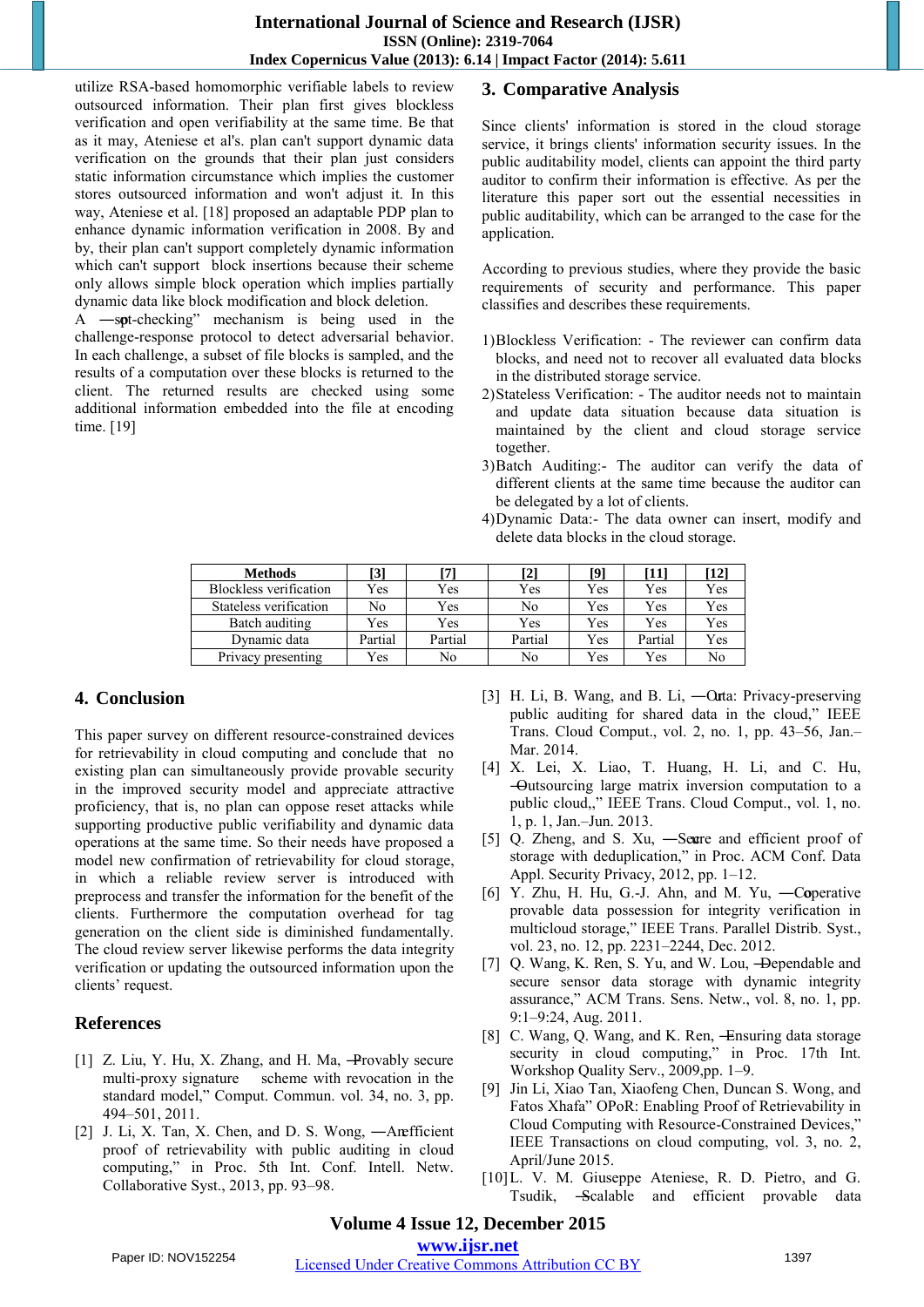utilize RSA-based homomorphic verifiable labels to review outsourced information. Their plan first gives blockless verification and open verifiability at the same time. Be that as it may, Ateniese et al's. plan can't support dynamic data verification on the grounds that their plan just considers static information circumstance which implies the customer stores outsourced information and won't adjust it. In this way, Ateniese et al. [18] proposed an adaptable PDP plan to enhance dynamic information verification in 2008. By and by, their plan can't support completely dynamic information which can't support block insertions because their scheme only allows simple block operation which implies partially dynamic data like block modification and block deletion.

A  $-$ spt-checking" mechanism is being used in the challenge-response protocol to detect adversarial behavior. In each challenge, a subset of file blocks is sampled, and the results of a computation over these blocks is returned to the client. The returned results are checked using some additional information embedded into the file at encoding time. [19]

# **3. Comparative Analysis**

Since clients' information is stored in the cloud storage service, it brings clients' information security issues. In the public auditability model, clients can appoint the third party auditor to confirm their information is effective. As per the literature this paper sort out the essential necessities in public auditability, which can be arranged to the case for the application.

According to previous studies, where they provide the basic requirements of security and performance. This paper classifies and describes these requirements.

- 1)Blockless Verification: The reviewer can confirm data blocks, and need not to recover all evaluated data blocks in the distributed storage service.
- 2)Stateless Verification: The auditor needs not to maintain and update data situation because data situation is maintained by the client and cloud storage service together.
- 3)Batch Auditing:- The auditor can verify the data of different clients at the same time because the auditor can be delegated by a lot of clients.
- 4)Dynamic Data:- The data owner can insert, modify and delete data blocks in the cloud storage.

| <b>Methods</b>         | [3]     | [7]     | [2]     | [9] | [11]    | [12] |
|------------------------|---------|---------|---------|-----|---------|------|
| Blockless verification | Yes     | Yes     | Yes     | Yes | Yes     | Yes  |
| Stateless verification | No      | Yes     | No      | Yes | Yes     | Yes  |
| Batch auditing         | Yes     | Yes     | Yes     | Yes | Yes     | Yes  |
| Dynamic data           | Partial | Partial | Partial | Yes | Partial | Yes  |
| Privacy presenting     | Yes     | No      | No      | Yes | Yes     | No   |

# **4. Conclusion**

This paper survey on different resource-constrained devices for retrievability in cloud computing and conclude that no existing plan can simultaneously provide provable security in the improved security model and appreciate attractive proficiency, that is, no plan can oppose reset attacks while supporting productive public verifiability and dynamic data operations at the same time. So their needs have proposed a model new confirmation of retrievability for cloud storage, in which a reliable review server is introduced with preprocess and transfer the information for the benefit of the clients. Furthermore the computation overhead for tag generation on the client side is diminished fundamentally. The cloud review server likewise performs the data integrity verification or updating the outsourced information upon the clients' request.

# **References**

- [1] Z. Liu, Y. Hu, X. Zhang, and H. Ma, -Provably secure multi-proxy signature scheme with revocation in the standard model," Comput. Commun. vol. 34, no. 3, pp. 494–501, 2011.
- [2] J. Li, X. Tan, X. Chen, and D. S. Wong, -Anefficient proof of retrievability with public auditing in cloud computing," in Proc. 5th Int. Conf. Intell. Netw. Collaborative Syst., 2013, pp. 93–98.
- [3] H. Li, B. Wang, and B. Li, —Orta: Privacy-preserving public auditing for shared data in the cloud," IEEE Trans. Cloud Comput., vol. 2, no. 1, pp. 43–56, Jan.– Mar. 2014.
- [4] X. Lei, X. Liao, T. Huang, H. Li, and C. Hu, ―Outsourcing large matrix inversion computation to a public cloud,," IEEE Trans. Cloud Comput., vol. 1, no. 1, p. 1, Jan.–Jun. 2013.
- [5] Q. Zheng, and S. Xu, -Seare and efficient proof of storage with deduplication," in Proc. ACM Conf. Data Appl. Security Privacy, 2012, pp. 1–12.
- [6] Y. Zhu, H. Hu, G.-J. Ahn, and M. Yu, ―Coperative provable data possession for integrity verification in multicloud storage," IEEE Trans. Parallel Distrib. Syst., vol. 23, no. 12, pp. 2231–2244, Dec. 2012.
- [7] Q. Wang, K. Ren, S. Yu, and W. Lou, -Dependable and secure sensor data storage with dynamic integrity assurance," ACM Trans. Sens. Netw., vol. 8, no. 1, pp. 9:1–9:24, Aug. 2011.
- [8] C. Wang, Q. Wang, and K. Ren, -Ensuring data storage security in cloud computing," in Proc. 17th Int. Workshop Quality Serv., 2009,pp. 1–9.
- [9] Jin Li, Xiao Tan, Xiaofeng Chen, Duncan S. Wong, and Fatos Xhafa" OPoR: Enabling Proof of Retrievability in Cloud Computing with Resource-Constrained Devices," IEEE Transactions on cloud computing, vol. 3, no. 2, April/June 2015.
- [10]L. V. M. Giuseppe Ateniese, R. D. Pietro, and G. Tsudik, ―Scalable and efficient provable data

## **Volume 4 Issue 12, December 2015 www.ijsr.net**